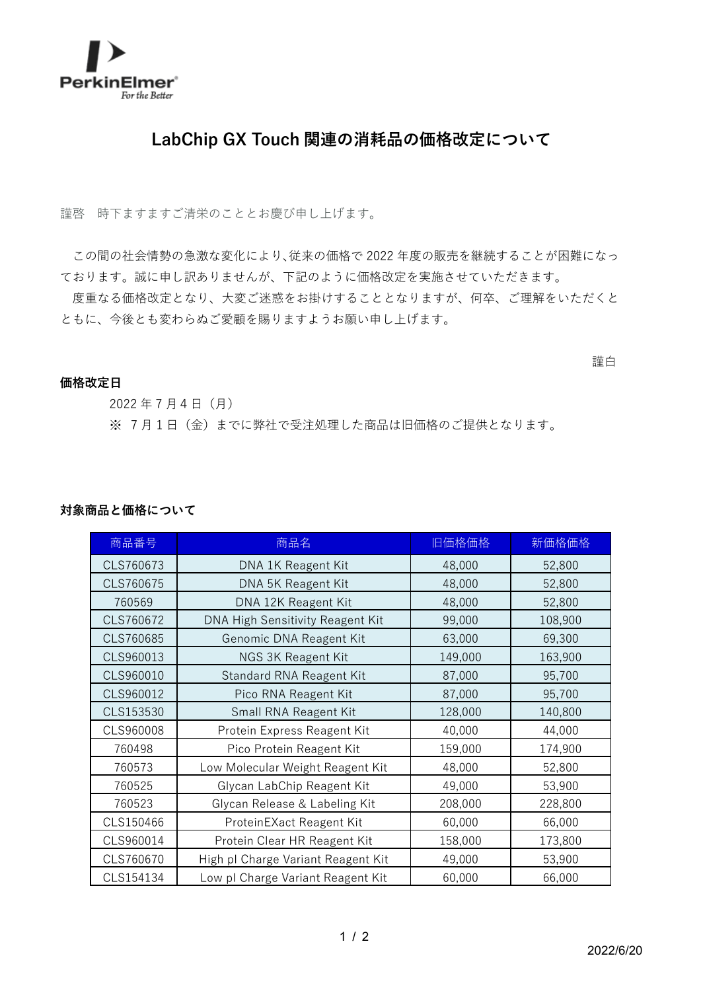

## **LabChip GX Touch 関連の消耗品の価格改定について**

謹啓 時下ますますご清栄のこととお慶び申し上げます。

この間の社会情勢の急激な変化により、従来の価格で 2022 年度の販売を継続することが困難になっ ております。誠に申し訳ありませんが、下記のように価格改定を実施させていただきます。

度重なる価格改定となり、大変ご迷惑をお掛けすることとなりますが、何卒、ご理解をいただくと ともに、今後とも変わらぬご愛顧を賜りますようお願い申し上げます。

## 謹白

## **価格改定日**

2022 年 7 月4日(月) ※ 7月1日(金)までに弊社で受注処理した商品は旧価格のご提供となります。

## **対象商品と価格について**

| 商品番号      | 商品名                                | 旧価格価格   | 新価格価格   |
|-----------|------------------------------------|---------|---------|
| CLS760673 | DNA 1K Reagent Kit                 | 48,000  | 52,800  |
| CLS760675 | DNA 5K Reagent Kit                 | 48,000  | 52,800  |
| 760569    | DNA 12K Reagent Kit                | 48,000  | 52,800  |
| CLS760672 | DNA High Sensitivity Reagent Kit   | 99,000  | 108,900 |
| CLS760685 | Genomic DNA Reagent Kit            | 63,000  | 69,300  |
| CLS960013 | NGS 3K Reagent Kit                 | 149,000 | 163,900 |
| CLS960010 | Standard RNA Reagent Kit           | 87,000  | 95,700  |
| CLS960012 | Pico RNA Reagent Kit               | 87,000  | 95,700  |
| CLS153530 | Small RNA Reagent Kit              | 128,000 | 140,800 |
| CLS960008 | Protein Express Reagent Kit        | 40,000  | 44,000  |
| 760498    | Pico Protein Reagent Kit           | 159,000 | 174,900 |
| 760573    | Low Molecular Weight Reagent Kit   | 48,000  | 52,800  |
| 760525    | Glycan LabChip Reagent Kit         | 49,000  | 53,900  |
| 760523    | Glycan Release & Labeling Kit      | 208,000 | 228,800 |
| CLS150466 | ProteinEXact Reagent Kit           | 60,000  | 66,000  |
| CLS960014 | Protein Clear HR Reagent Kit       | 158,000 | 173,800 |
| CLS760670 | High pl Charge Variant Reagent Kit | 49,000  | 53,900  |
| CLS154134 | Low pl Charge Variant Reagent Kit  | 60,000  | 66,000  |